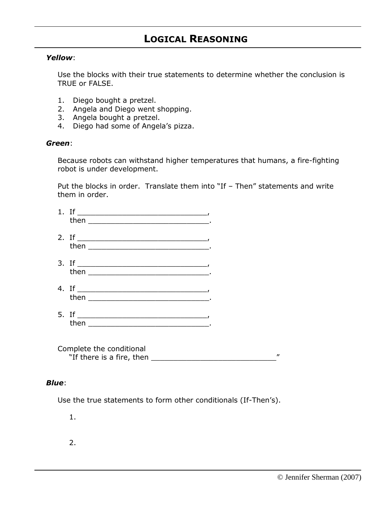## **LOGICAL REASONING**

## *Yellow*:

Use the blocks with their true statements to determine whether the conclusion is TRUE or FALSE.

- 1. Diego bought a pretzel.
- 2. Angela and Diego went shopping.
- 3. Angela bought a pretzel.
- 4. Diego had some of Angela's pizza.

## *Green*:

Because robots can withstand higher temperatures that humans, a fire-fighting robot is under development.

Put the blocks in order. Translate them into "If - Then" statements and write them in order.

| 1. If $\qquad \qquad$ |  |
|-----------------------|--|
|                       |  |
| 3. If $\qquad \qquad$ |  |
| 4. If $\qquad \qquad$ |  |
|                       |  |

Complete the conditional "If there is a fire, then \_\_\_\_\_\_\_\_\_\_\_\_\_\_\_\_\_\_\_\_\_\_\_\_\_\_\_\_"

## *Blue*:

Use the true statements to form other conditionals (If-Then's).

1.

2.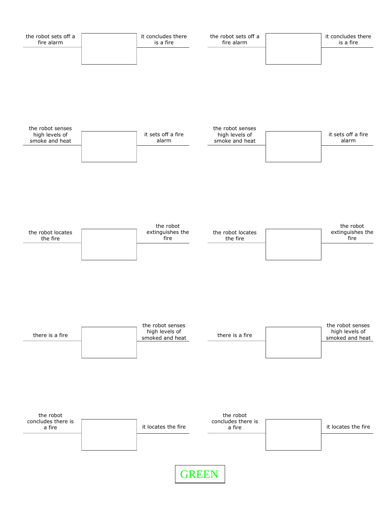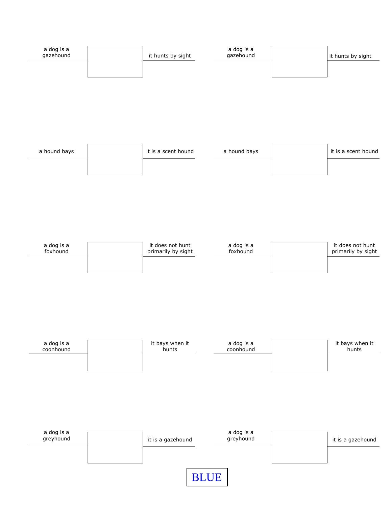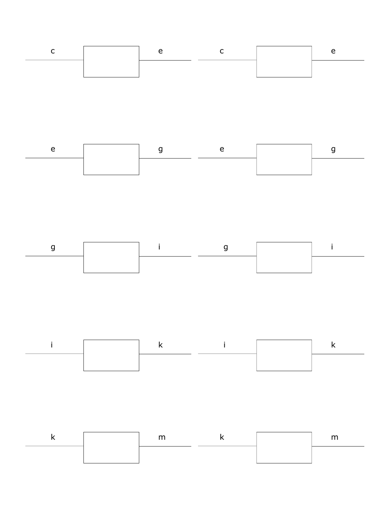